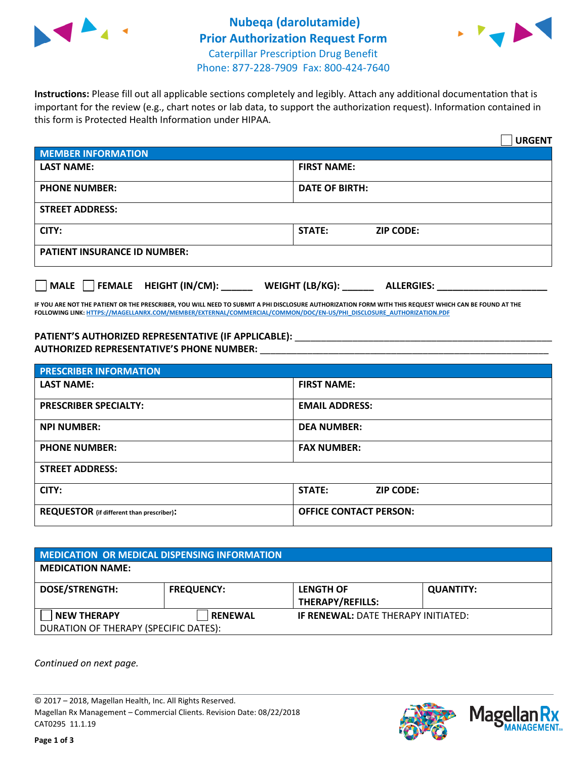



**Instructions:** Please fill out all applicable sections completely and legibly. Attach any additional documentation that is important for the review (e.g., chart notes or lab data, to support the authorization request). Information contained in this form is Protected Health Information under HIPAA.

|                                       |                                      | <b>URGENT</b> |
|---------------------------------------|--------------------------------------|---------------|
| <b>MEMBER INFORMATION</b>             |                                      |               |
| <b>LAST NAME:</b>                     | <b>FIRST NAME:</b>                   |               |
| <b>PHONE NUMBER:</b>                  | <b>DATE OF BIRTH:</b>                |               |
| <b>STREET ADDRESS:</b>                |                                      |               |
| CITY:                                 | <b>ZIP CODE:</b><br>STATE:           |               |
| <b>PATIENT INSURANCE ID NUMBER:</b>   |                                      |               |
| FEMALE HEIGHT (IN/CM):<br><b>MALE</b> | WEIGHT (LB/KG):<br><b>ALLERGIES:</b> |               |

**IF YOU ARE NOT THE PATIENT OR THE PRESCRIBER, YOU WILL NEED TO SUBMIT A PHI DISCLOSURE AUTHORIZATION FORM WITH THIS REQUEST WHICH CAN BE FOUND AT THE FOLLOWING LINK[: HTTPS://MAGELLANRX.COM/MEMBER/EXTERNAL/COMMERCIAL/COMMON/DOC/EN-US/PHI\\_DISCLOSURE\\_AUTHORIZATION.PDF](https://magellanrx.com/member/external/commercial/common/doc/en-us/PHI_Disclosure_Authorization.pdf)**

PATIENT'S AUTHORIZED REPRESENTATIVE (IF APPLICABLE): \_\_\_\_\_\_\_\_\_\_\_\_\_\_\_\_\_\_\_\_\_\_\_\_\_\_\_ **AUTHORIZED REPRESENTATIVE'S PHONE NUMBER:** \_\_\_\_\_\_\_\_\_\_\_\_\_\_\_\_\_\_\_\_\_\_\_\_\_\_\_\_\_\_\_\_\_\_\_\_\_\_\_\_\_\_\_\_\_\_\_\_\_\_\_\_\_\_\_

| <b>PRESCRIBER INFORMATION</b>             |                               |  |  |  |
|-------------------------------------------|-------------------------------|--|--|--|
| <b>LAST NAME:</b>                         | <b>FIRST NAME:</b>            |  |  |  |
| <b>PRESCRIBER SPECIALTY:</b>              | <b>EMAIL ADDRESS:</b>         |  |  |  |
| <b>NPI NUMBER:</b>                        | <b>DEA NUMBER:</b>            |  |  |  |
| <b>PHONE NUMBER:</b>                      | <b>FAX NUMBER:</b>            |  |  |  |
| <b>STREET ADDRESS:</b>                    |                               |  |  |  |
| CITY:                                     | STATE:<br><b>ZIP CODE:</b>    |  |  |  |
| REQUESTOR (if different than prescriber): | <b>OFFICE CONTACT PERSON:</b> |  |  |  |

| <b>MEDICATION OR MEDICAL DISPENSING INFORMATION</b> |                   |                                            |                  |  |  |
|-----------------------------------------------------|-------------------|--------------------------------------------|------------------|--|--|
| <b>MEDICATION NAME:</b>                             |                   |                                            |                  |  |  |
| <b>DOSE/STRENGTH:</b>                               | <b>FREQUENCY:</b> | <b>LENGTH OF</b>                           | <b>QUANTITY:</b> |  |  |
|                                                     |                   | <b>THERAPY/REFILLS:</b>                    |                  |  |  |
| <b>NEW THERAPY</b>                                  | <b>RENEWAL</b>    | <b>IF RENEWAL: DATE THERAPY INITIATED:</b> |                  |  |  |
| DURATION OF THERAPY (SPECIFIC DATES):               |                   |                                            |                  |  |  |

*Continued on next page.*

© 2017 – 2018, Magellan Health, Inc. All Rights Reserved. Magellan Rx Management – Commercial Clients. Revision Date: 08/22/2018 CAT0295 11.1.19



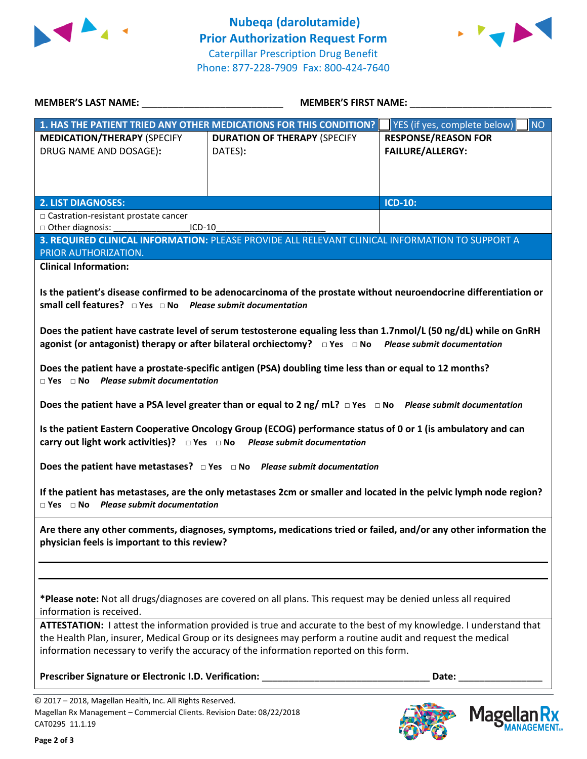



|                                                                                    | <b>MEMBER'S FIRST NAME:</b><br>MEMBER'S LAST NAME: NAME:                                                             |                                           |
|------------------------------------------------------------------------------------|----------------------------------------------------------------------------------------------------------------------|-------------------------------------------|
|                                                                                    | 1. HAS THE PATIENT TRIED ANY OTHER MEDICATIONS FOR THIS CONDITION?                                                   | YES (if yes, complete below)<br><b>NO</b> |
| <b>MEDICATION/THERAPY (SPECIFY</b>                                                 | <b>DURATION OF THERAPY (SPECIFY</b>                                                                                  | <b>RESPONSE/REASON FOR</b>                |
| DRUG NAME AND DOSAGE):                                                             | DATES):                                                                                                              | <b>FAILURE/ALLERGY:</b>                   |
|                                                                                    |                                                                                                                      |                                           |
|                                                                                    |                                                                                                                      |                                           |
| <b>2. LIST DIAGNOSES:</b>                                                          |                                                                                                                      | <b>ICD-10:</b>                            |
| □ Castration-resistant prostate cancer<br>ICD-10                                   |                                                                                                                      |                                           |
| □ Other diagnosis: ___________                                                     | 3. REQUIRED CLINICAL INFORMATION: PLEASE PROVIDE ALL RELEVANT CLINICAL INFORMATION TO SUPPORT A                      |                                           |
| PRIOR AUTHORIZATION.                                                               |                                                                                                                      |                                           |
| <b>Clinical Information:</b>                                                       |                                                                                                                      |                                           |
|                                                                                    |                                                                                                                      |                                           |
|                                                                                    | Is the patient's disease confirmed to be adenocarcinoma of the prostate without neuroendocrine differentiation or    |                                           |
| small cell features? $\Box$ Yes $\Box$ No Please submit documentation              |                                                                                                                      |                                           |
|                                                                                    |                                                                                                                      |                                           |
|                                                                                    | Does the patient have castrate level of serum testosterone equaling less than 1.7nmol/L (50 ng/dL) while on GnRH     |                                           |
|                                                                                    | agonist (or antagonist) therapy or after bilateral orchiectomy? $\Box$ Yes $\Box$ No Please submit documentation     |                                           |
|                                                                                    | Does the patient have a prostate-specific antigen (PSA) doubling time less than or equal to 12 months?               |                                           |
| $\Box$ Yes $\Box$ No Please submit documentation                                   |                                                                                                                      |                                           |
|                                                                                    |                                                                                                                      |                                           |
|                                                                                    | Does the patient have a PSA level greater than or equal to 2 ng/mL? $\Box$ Yes $\Box$ No Please submit documentation |                                           |
|                                                                                    | Is the patient Eastern Cooperative Oncology Group (ECOG) performance status of 0 or 1 (is ambulatory and can         |                                           |
| carry out light work activities)? $\Box$ Yes $\Box$ No Please submit documentation |                                                                                                                      |                                           |
|                                                                                    | Does the patient have metastases? $\Box$ Yes $\Box$ No Please submit documentation                                   |                                           |
| $\Box$ Yes $\Box$ No Please submit documentation                                   | If the patient has metastases, are the only metastases 2cm or smaller and located in the pelvic lymph node region?   |                                           |
|                                                                                    | Are there any other comments, diagnoses, symptoms, medications tried or failed, and/or any other information the     |                                           |
| physician feels is important to this review?                                       |                                                                                                                      |                                           |
|                                                                                    |                                                                                                                      |                                           |
|                                                                                    |                                                                                                                      |                                           |
|                                                                                    |                                                                                                                      |                                           |
| information is received.                                                           | *Please note: Not all drugs/diagnoses are covered on all plans. This request may be denied unless all required       |                                           |
|                                                                                    | ATTESTATION: I attest the information provided is true and accurate to the best of my knowledge. I understand that   |                                           |
|                                                                                    | the Health Plan, insurer, Medical Group or its designees may perform a routine audit and request the medical         |                                           |
|                                                                                    | information necessary to verify the accuracy of the information reported on this form.                               |                                           |
|                                                                                    |                                                                                                                      |                                           |
| Prescriber Signature or Electronic I.D. Verification:                              |                                                                                                                      | Date:                                     |
| © 2017 - 2018, Magellan Health, Inc. All Rights Reserved.                          |                                                                                                                      |                                           |
| Magellan Rx Management - Commercial Clients. Revision Date: 08/22/2018             |                                                                                                                      | <b>Magel</b>                              |
| CAT0295 11.1.19                                                                    |                                                                                                                      |                                           |